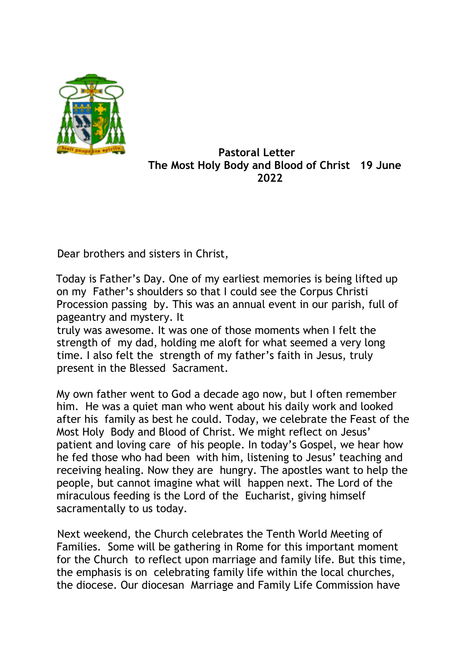

 **Pastoral Letter The Most Holy Body and Blood of Christ 19 June 2022** 

Dear brothers and sisters in Christ,

Today is Father's Day. One of my earliest memories is being lifted up on my Father's shoulders so that I could see the Corpus Christi Procession passing by. This was an annual event in our parish, full of pageantry and mystery. It

truly was awesome. It was one of those moments when I felt the strength of my dad, holding me aloft for what seemed a very long time. I also felt the strength of my father's faith in Jesus, truly present in the Blessed Sacrament.

My own father went to God a decade ago now, but I often remember him. He was a quiet man who went about his daily work and looked after his family as best he could. Today, we celebrate the Feast of the Most Holy Body and Blood of Christ. We might reflect on Jesus' patient and loving care of his people. In today's Gospel, we hear how he fed those who had been with him, listening to Jesus' teaching and receiving healing. Now they are hungry. The apostles want to help the people, but cannot imagine what will happen next. The Lord of the miraculous feeding is the Lord of the Eucharist, giving himself sacramentally to us today.

Next weekend, the Church celebrates the Tenth World Meeting of Families. Some will be gathering in Rome for this important moment for the Church to reflect upon marriage and family life. But this time, the emphasis is on celebrating family life within the local churches, the diocese. Our diocesan Marriage and Family Life Commission have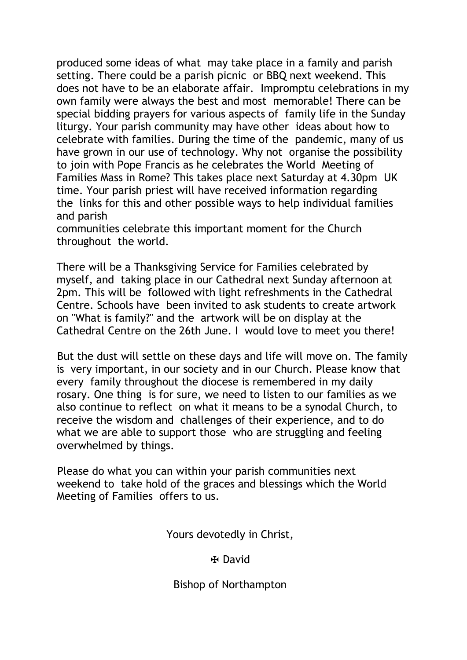produced some ideas of what may take place in a family and parish setting. There could be a parish picnic or BBQ next weekend. This does not have to be an elaborate affair. Impromptu celebrations in my own family were always the best and most memorable! There can be special bidding prayers for various aspects of family life in the Sunday liturgy. Your parish community may have other ideas about how to celebrate with families. During the time of the pandemic, many of us have grown in our use of technology. Why not organise the possibility to join with Pope Francis as he celebrates the World Meeting of Families Mass in Rome? This takes place next Saturday at 4.30pm UK time. Your parish priest will have received information regarding the links for this and other possible ways to help individual families and parish

communities celebrate this important moment for the Church throughout the world.

There will be a Thanksgiving Service for Families celebrated by myself, and taking place in our Cathedral next Sunday afternoon at 2pm. This will be followed with light refreshments in the Cathedral Centre. Schools have been invited to ask students to create artwork on "What is family?" and the artwork will be on display at the Cathedral Centre on the 26th June. I would love to meet you there!

But the dust will settle on these days and life will move on. The family is very important, in our society and in our Church. Please know that every family throughout the diocese is remembered in my daily rosary. One thing is for sure, we need to listen to our families as we also continue to reflect on what it means to be a synodal Church, to receive the wisdom and challenges of their experience, and to do what we are able to support those who are struggling and feeling overwhelmed by things.

Please do what you can within your parish communities next weekend to take hold of the graces and blessings which the World Meeting of Families offers to us.

Yours devotedly in Christ,

✠ David

Bishop of Northampton